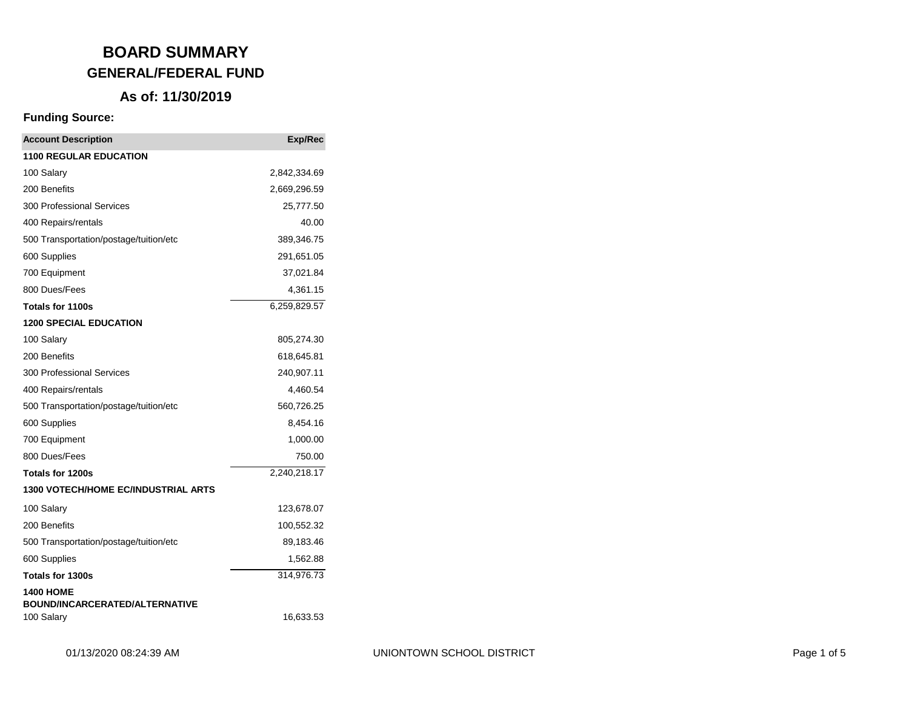#### **As of: 11/30/2019**

| <b>Account Description</b>                          | <b>Exp/Rec</b> |
|-----------------------------------------------------|----------------|
| <b>1100 REGULAR EDUCATION</b>                       |                |
| 100 Salary                                          | 2,842,334.69   |
| 200 Benefits                                        | 2,669,296.59   |
| 300 Professional Services                           | 25,777.50      |
| 400 Repairs/rentals                                 | 40.00          |
| 500 Transportation/postage/tuition/etc              | 389,346.75     |
| 600 Supplies                                        | 291,651.05     |
| 700 Equipment                                       | 37,021.84      |
| 800 Dues/Fees                                       | 4,361.15       |
| Totals for 1100s                                    | 6,259,829.57   |
| <b>1200 SPECIAL EDUCATION</b>                       |                |
| 100 Salary                                          | 805,274.30     |
| 200 Benefits                                        | 618,645.81     |
| 300 Professional Services                           | 240,907.11     |
| 400 Repairs/rentals                                 | 4,460.54       |
| 500 Transportation/postage/tuition/etc              | 560,726.25     |
| 600 Supplies                                        | 8,454.16       |
| 700 Equipment                                       | 1,000.00       |
| 800 Dues/Fees                                       | 750.00         |
| <b>Totals for 1200s</b>                             | 2,240,218.17   |
| <b>1300 VOTECH/HOME EC/INDUSTRIAL ARTS</b>          |                |
| 100 Salary                                          | 123,678.07     |
| 200 Benefits                                        | 100,552.32     |
| 500 Transportation/postage/tuition/etc              | 89,183.46      |
| 600 Supplies                                        | 1,562.88       |
| <b>Totals for 1300s</b>                             | 314,976.73     |
| <b>1400 HOME</b>                                    |                |
| <b>BOUND/INCARCERATED/ALTERNATIVE</b><br>100 Salary | 16,633.53      |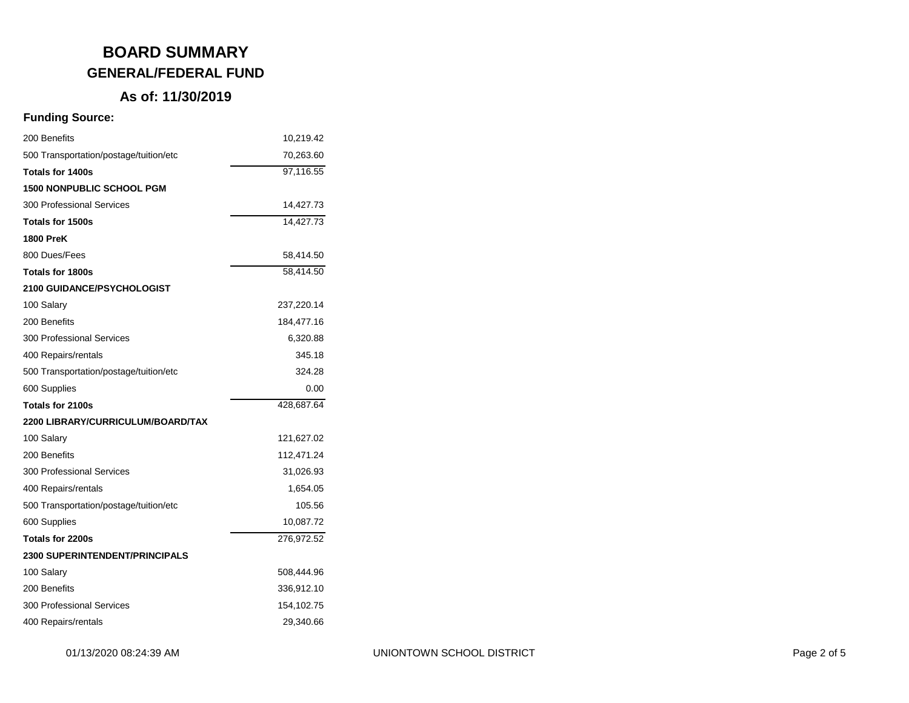## **As of: 11/30/2019**

| 200 Benefits                           | 10,219.42  |
|----------------------------------------|------------|
| 500 Transportation/postage/tuition/etc | 70,263.60  |
| Totals for 1400s                       | 97,116.55  |
| <b>1500 NONPUBLIC SCHOOL PGM</b>       |            |
| 300 Professional Services              | 14,427.73  |
| Totals for 1500s                       | 14,427.73  |
| <b>1800 PreK</b>                       |            |
| 800 Dues/Fees                          | 58,414.50  |
| Totals for 1800s                       | 58,414.50  |
| <b>2100 GUIDANCE/PSYCHOLOGIST</b>      |            |
| 100 Salary                             | 237,220.14 |
| 200 Benefits                           | 184,477.16 |
| 300 Professional Services              | 6,320.88   |
| 400 Repairs/rentals                    | 345.18     |
| 500 Transportation/postage/tuition/etc | 324.28     |
| 600 Supplies                           | 0.00       |
| Totals for 2100s                       | 428,687.64 |
| 2200 LIBRARY/CURRICULUM/BOARD/TAX      |            |
| 100 Salary                             | 121,627.02 |
| 200 Benefits                           | 112,471.24 |
| 300 Professional Services              | 31,026.93  |
| 400 Repairs/rentals                    | 1,654.05   |
| 500 Transportation/postage/tuition/etc | 105.56     |
| 600 Supplies                           | 10,087.72  |
| Totals for 2200s                       | 276,972.52 |
| <b>2300 SUPERINTENDENT/PRINCIPALS</b>  |            |
| 100 Salary                             | 508,444.96 |
| 200 Benefits                           | 336,912.10 |
| 300 Professional Services              | 154,102.75 |
| 400 Repairs/rentals                    | 29,340.66  |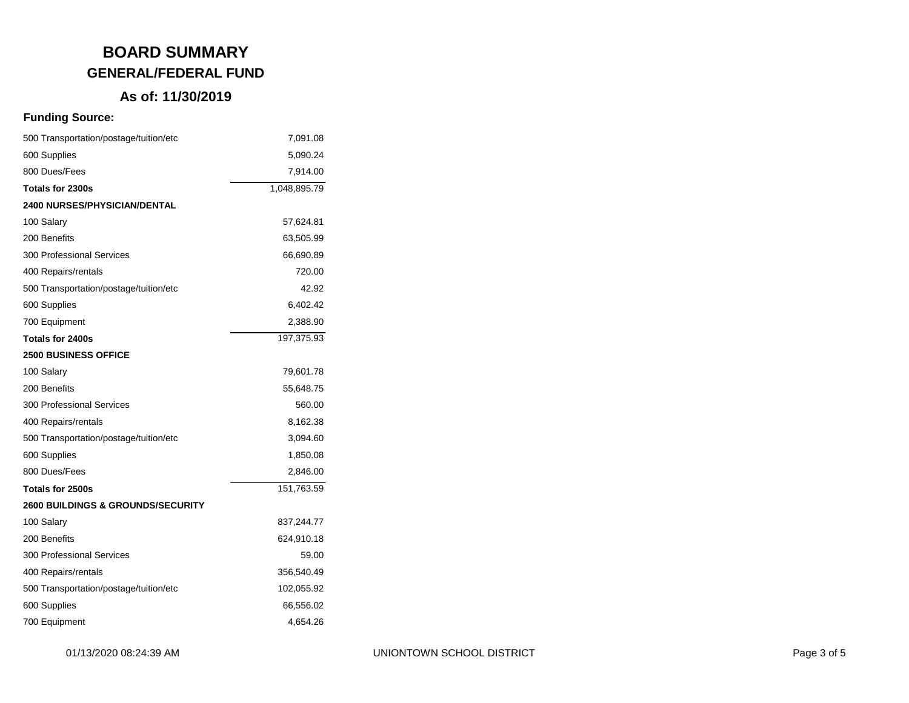## **As of: 11/30/2019**

| 500 Transportation/postage/tuition/etc       | 7,091.08     |
|----------------------------------------------|--------------|
| 600 Supplies                                 | 5,090.24     |
| 800 Dues/Fees                                | 7,914.00     |
| Totals for 2300s                             | 1,048,895.79 |
| <b>2400 NURSES/PHYSICIAN/DENTAL</b>          |              |
| 100 Salary                                   | 57,624.81    |
| 200 Benefits                                 | 63,505.99    |
| <b>300 Professional Services</b>             | 66,690.89    |
| 400 Repairs/rentals                          | 720.00       |
| 500 Transportation/postage/tuition/etc       | 42.92        |
| 600 Supplies                                 | 6,402.42     |
| 700 Equipment                                | 2,388.90     |
| Totals for 2400s                             | 197,375.93   |
| 2500 BUSINESS OFFICE                         |              |
| 100 Salary                                   | 79,601.78    |
| 200 Benefits                                 | 55,648.75    |
| <b>300 Professional Services</b>             | 560.00       |
| 400 Repairs/rentals                          | 8,162.38     |
| 500 Transportation/postage/tuition/etc       | 3,094.60     |
| 600 Supplies                                 | 1,850.08     |
| 800 Dues/Fees                                | 2,846.00     |
| Totals for 2500s                             | 151,763.59   |
| <b>2600 BUILDINGS &amp; GROUNDS/SECURITY</b> |              |
| 100 Salary                                   | 837,244.77   |
| 200 Benefits                                 | 624,910.18   |
| <b>300 Professional Services</b>             | 59.00        |
| 400 Repairs/rentals                          | 356,540.49   |
| 500 Transportation/postage/tuition/etc       | 102,055.92   |
| 600 Supplies                                 | 66,556.02    |
| 700 Equipment                                | 4,654.26     |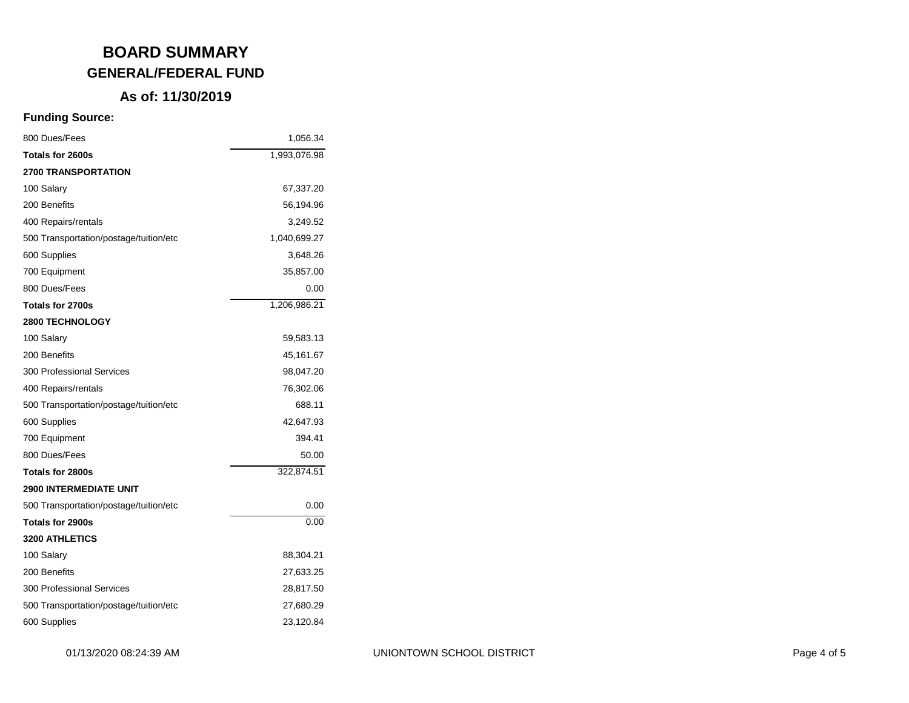### **As of: 11/30/2019**

| 800 Dues/Fees                          | 1,056.34     |
|----------------------------------------|--------------|
| Totals for 2600s                       | 1,993,076.98 |
| <b>2700 TRANSPORTATION</b>             |              |
| 100 Salary                             | 67,337.20    |
| 200 Benefits                           | 56,194.96    |
| 400 Repairs/rentals                    | 3,249.52     |
| 500 Transportation/postage/tuition/etc | 1,040,699.27 |
| 600 Supplies                           | 3,648.26     |
| 700 Equipment                          | 35,857.00    |
| 800 Dues/Fees                          | 0.00         |
| Totals for 2700s                       | 1,206,986.21 |
| 2800 TECHNOLOGY                        |              |
| 100 Salary                             | 59,583.13    |
| 200 Benefits                           | 45,161.67    |
| 300 Professional Services              | 98,047.20    |
| 400 Repairs/rentals                    | 76,302.06    |
| 500 Transportation/postage/tuition/etc | 688.11       |
| 600 Supplies                           | 42,647.93    |
| 700 Equipment                          | 394.41       |
| 800 Dues/Fees                          | 50.00        |
| Totals for 2800s                       | 322,874.51   |
| <b>2900 INTERMEDIATE UNIT</b>          |              |
| 500 Transportation/postage/tuition/etc | 0.00         |
| Totals for 2900s                       | 0.00         |
| <b>3200 ATHLETICS</b>                  |              |
| 100 Salary                             | 88,304.21    |
| 200 Benefits                           | 27,633.25    |
| 300 Professional Services              | 28,817.50    |
| 500 Transportation/postage/tuition/etc | 27,680.29    |
| 600 Supplies                           | 23,120.84    |